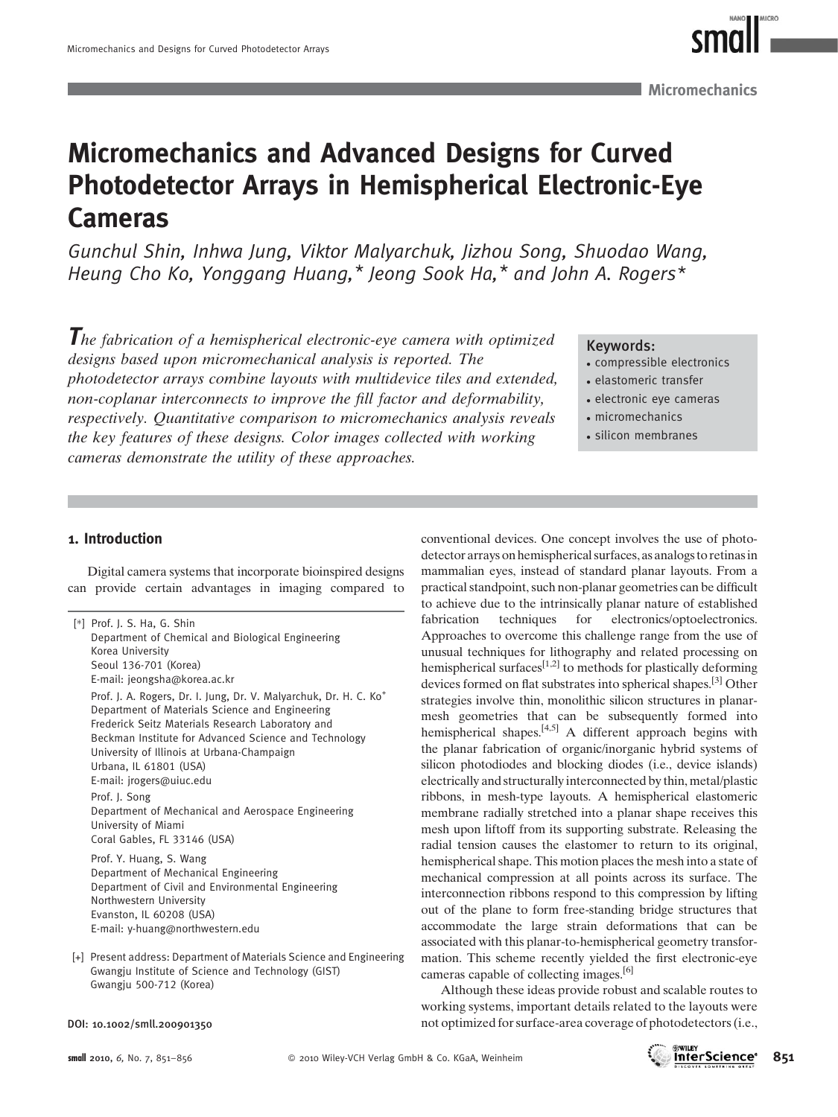### Micromechanics and Advanced Designs for Curved Photodetector Arrays in Hemispherical Electronic-Eye Cameras

Gunchul Shin, Inhwa Jung, Viktor Malyarchuk, Jizhou Song, Shuodao Wang, Heung Cho Ko, Yonggang Huang,\* Jeong Sook Ha,\* and John A. Rogers\*

*T*he fabrication of a hemispherical electronic-eye camera with optimized designs based upon micromechanical analysis is reported. The photodetector arrays combine layouts with multidevice tiles and extended, non-coplanar interconnects to improve the fill factor and deformability, respectively. Quantitative comparison to micromechanics analysis reveals the key features of these designs. Color images collected with working cameras demonstrate the utility of these approaches.

### Keywords:

- compressible electronics
- elastomeric transfer
- electronic eye cameras
- micromechanics
- silicon membranes

### 1. Introduction

Digital camera systems that incorporate bioinspired designs can provide certain advantages in imaging compared to

[+] Present address: Department of Materials Science and Engineering Gwangju Institute of Science and Technology (GIST) Gwangju 500-712 (Korea)

conventional devices. One concept involves the use of photodetector arrays on hemispherical surfaces, as analogs to retinasin mammalian eyes, instead of standard planar layouts. From a practical standpoint, such non-planar geometries can be difficult to achieve due to the intrinsically planar nature of established fabrication techniques for electronics/optoelectronics. Approaches to overcome this challenge range from the use of unusual techniques for lithography and related processing on hemispherical surfaces $[1,2]$  to methods for plastically deforming devices formed on flat substrates into spherical shapes.[3] Other strategies involve thin, monolithic silicon structures in planarmesh geometries that can be subsequently formed into hemispherical shapes.<sup>[4,5]</sup> A different approach begins with the planar fabrication of organic/inorganic hybrid systems of silicon photodiodes and blocking diodes (i.e., device islands) electrically and structurally interconnected by thin, metal/plastic ribbons, in mesh-type layouts. A hemispherical elastomeric membrane radially stretched into a planar shape receives this mesh upon liftoff from its supporting substrate. Releasing the radial tension causes the elastomer to return to its original, hemispherical shape. This motion places the mesh into a state of mechanical compression at all points across its surface. The interconnection ribbons respond to this compression by lifting out of the plane to form free-standing bridge structures that accommodate the large strain deformations that can be associated with this planar-to-hemispherical geometry transformation. This scheme recently yielded the first electronic-eye cameras capable of collecting images.[6]

Although these ideas provide robust and scalable routes to working systems, important details related to the layouts were not optimized for surface-area coverage of photodetectors (i.e.,



<sup>[\*]</sup> Prof. J. S. Ha, G. Shin Department of Chemical and Biological Engineering Korea University Seoul 136-701 (Korea) E-mail: jeongsha@korea.ac.kr Prof. J. A. Rogers, Dr. I. Jung, Dr. V. Malyarchuk, Dr. H. C. Ko<sup>+</sup> Department of Materials Science and Engineering Frederick Seitz Materials Research Laboratory and Beckman Institute for Advanced Science and Technology University of Illinois at Urbana-Champaign Urbana, IL 61801 (USA) E-mail: jrogers@uiuc.edu Prof. J. Song Department of Mechanical and Aerospace Engineering University of Miami Coral Gables, FL 33146 (USA) Prof. Y. Huang, S. Wang Department of Mechanical Engineering Department of Civil and Environmental Engineering Northwestern University Evanston, IL 60208 (USA) E-mail: y-huang@northwestern.edu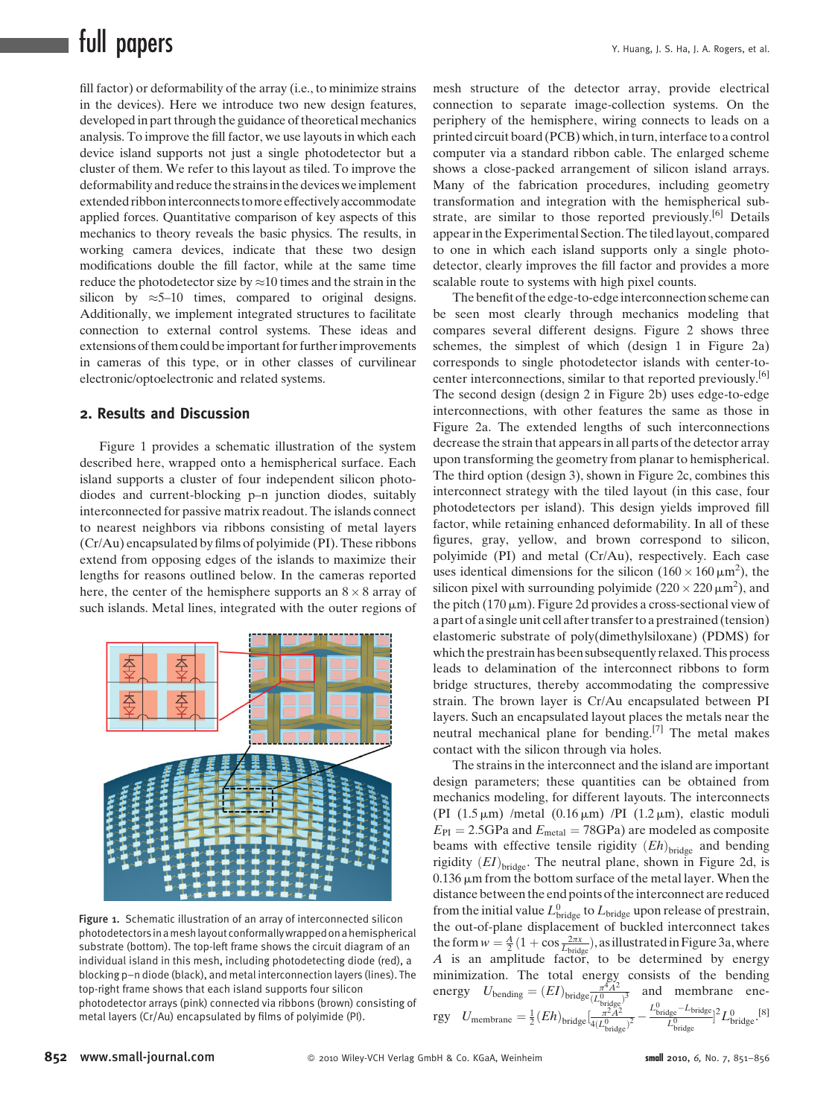fill factor) or deformability of the array (i.e., to minimize strains in the devices). Here we introduce two new design features, developed in part through the guidance of theoretical mechanics analysis. To improve the fill factor, we use layouts in which each device island supports not just a single photodetector but a cluster of them. We refer to this layout as tiled. To improve the deformability and reduce the strainsin the devices weimplement extended ribbon interconnects to more effectively accommodate applied forces. Quantitative comparison of key aspects of this mechanics to theory reveals the basic physics. The results, in working camera devices, indicate that these two design modifications double the fill factor, while at the same time reduce the photodetector size by  $\approx$  10 times and the strain in the silicon by  $\approx$  5–10 times, compared to original designs. Additionally, we implement integrated structures to facilitate connection to external control systems. These ideas and extensions of them could be important for further improvements in cameras of this type, or in other classes of curvilinear electronic/optoelectronic and related systems.

### 2. Results and Discussion

Figure 1 provides a schematic illustration of the system described here, wrapped onto a hemispherical surface. Each island supports a cluster of four independent silicon photodiodes and current-blocking p–n junction diodes, suitably interconnected for passive matrix readout. The islands connect to nearest neighbors via ribbons consisting of metal layers (Cr/Au) encapsulated by films of polyimide (PI). These ribbons extend from opposing edges of the islands to maximize their lengths for reasons outlined below. In the cameras reported here, the center of the hemisphere supports an  $8 \times 8$  array of such islands. Metal lines, integrated with the outer regions of



Figure 1. Schematic illustration of an array of interconnected silicon photodetectorsin amesh layoutconformallywrappedon ahemispherical substrate (bottom). The top-left frame shows the circuit diagram of an individual island in this mesh, including photodetecting diode (red), a blocking p–n diode (black), and metal interconnection layers (lines). The top-right frame shows that each island supports four silicon photodetector arrays (pink) connected via ribbons (brown) consisting of metal layers (Cr/Au) encapsulated by films of polyimide (PI).

mesh structure of the detector array, provide electrical connection to separate image-collection systems. On the periphery of the hemisphere, wiring connects to leads on a printed circuit board (PCB) which, in turn, interface to a control computer via a standard ribbon cable. The enlarged scheme shows a close-packed arrangement of silicon island arrays. Many of the fabrication procedures, including geometry transformation and integration with the hemispherical substrate, are similar to those reported previously.<sup>[6]</sup> Details appear in the Experimental Section. The tiledlayout, compared to one in which each island supports only a single photodetector, clearly improves the fill factor and provides a more scalable route to systems with high pixel counts.

The benefit of the edge-to-edgeinterconnection scheme can be seen most clearly through mechanics modeling that compares several different designs. Figure 2 shows three schemes, the simplest of which (design 1 in Figure 2a) corresponds to single photodetector islands with center-tocenter interconnections, similar to that reported previously.[6] The second design (design 2 in Figure 2b) uses edge-to-edge interconnections, with other features the same as those in Figure 2a. The extended lengths of such interconnections decrease the strain that appears in all parts of the detector array upon transforming the geometry from planar to hemispherical. The third option (design 3), shown in Figure 2c, combines this interconnect strategy with the tiled layout (in this case, four photodetectors per island). This design yields improved fill factor, while retaining enhanced deformability. In all of these figures, gray, yellow, and brown correspond to silicon, polyimide (PI) and metal (Cr/Au), respectively. Each case uses identical dimensions for the silicon  $(160 \times 160 \,\mu\text{m}^2)$ , the silicon pixel with surrounding polyimide  $(220 \times 220 \,\mu\text{m}^2)$ , and the pitch (170  $\mu$ m). Figure 2d provides a cross-sectional view of a part of a single unit cell after transfer to a prestrained (tension) elastomeric substrate of poly(dimethylsiloxane) (PDMS) for which the prestrain has been subsequently relaxed. This process leads to delamination of the interconnect ribbons to form bridge structures, thereby accommodating the compressive strain. The brown layer is Cr/Au encapsulated between PI layers. Such an encapsulated layout places the metals near the neutral mechanical plane for bending.[7] The metal makes contact with the silicon through via holes.

The strains in the interconnect and the island are important design parameters; these quantities can be obtained from mechanics modeling, for different layouts. The interconnects (PI  $(1.5 \mu m)$  /metal  $(0.16 \mu m)$  /PI  $(1.2 \mu m)$ , elastic moduli  $E_{\text{PI}} = 2.5 \text{GPa}$  and  $E_{\text{metal}} = 78 \text{GPa}$ ) are modeled as composite beams with effective tensile rigidity  $(Eh)_{\text{bridge}}$  and bending rigidity  $(EI)_{\text{bridge}}$ . The neutral plane, shown in Figure 2d, is  $0.136 \mu m$  from the bottom surface of the metal layer. When the distance between the end points of the interconnect are reduced from the initial value  $L_{\rm bridge}^0$  to  $L_{\rm bridge}$  upon release of prestrain, the out-of-plane displacement of buckled interconnect takes the form  $w = \frac{A}{2}(1 + \cos \frac{2\pi x}{L_{bridge}})$ , as illustrated in Figure 3a, where <br>*A* is an amplitude factor, to be determined by energy minimization. The total energy consists of the bending energy  $U_{\text{bending}} = (EI)_{\text{bridge}} \frac{\pi^4 \tilde{A}^2}{(L_{\text{bridge}}^0)^3}$  and membrane energy  $U_{\text{membrane}} = \frac{1}{2} (Eh)_{\text{bridge}} \left[ \frac{\pi^2 A^2}{4 (L_{\text{bridge}}^0)^2} - \frac{L_{\text{bridge}}^0 - L_{\text{bridge}}}{L_{\text{bridge}}^0} \right]$  $\frac{L_{\text{bridge}} - L_{\text{bridge}}}{L_{\text{bridge}}^0}$ <sup>2</sup> $L_{\text{bridge}}^{0}$ . [8]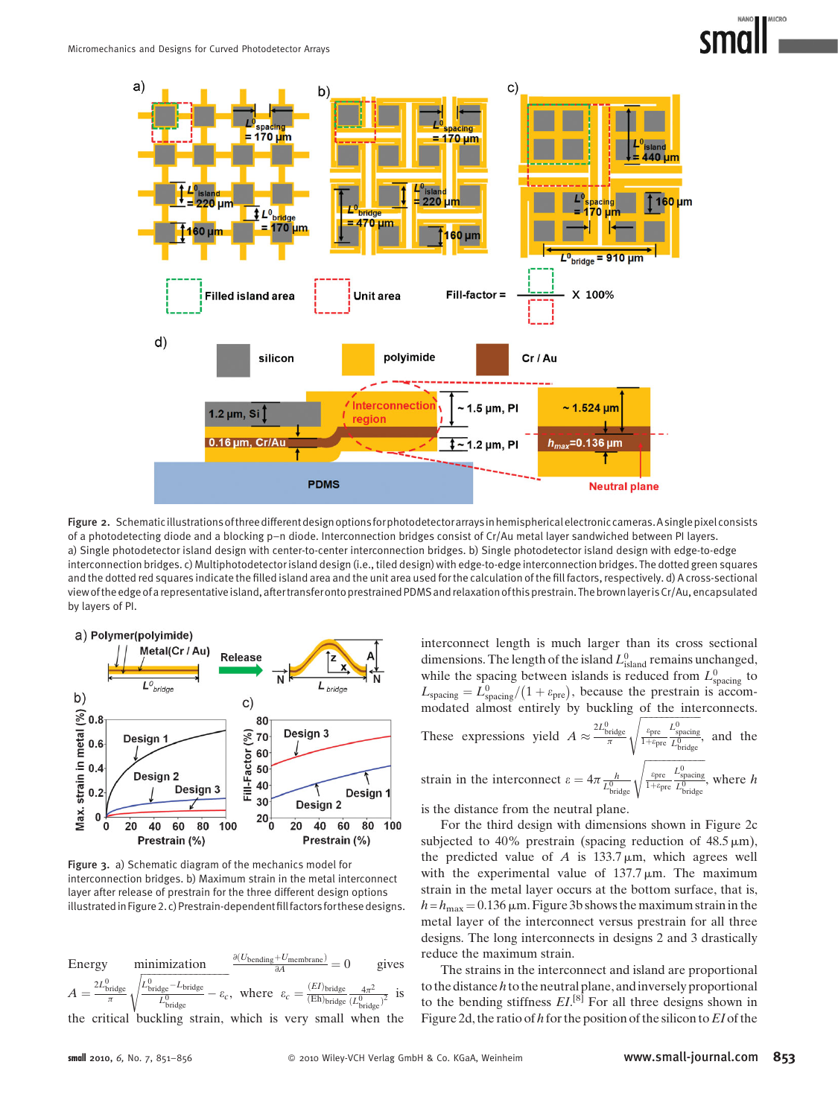

Figure 2. Schematic illustrations of three different design options for photodetector arrays in hemispherical electronic cameras. A single pixel consists of a photodetecting diode and a blocking p–n diode. Interconnection bridges consist of Cr/Au metal layer sandwiched between PI layers. a) Single photodetector island design with center-to-center interconnection bridges. b) Single photodetector island design with edge-to-edge interconnection bridges. c) Multiphotodetector island design (i.e., tiled design) with edge-to-edge interconnection bridges. The dotted green squares and the dotted red squares indicate the filled island area and the unit area used for the calculation of the fill factors, respectively. d) A cross-sectional viewof theedge ofa representative island, after transferontoprestrained PDMSand relaxationofthis prestrain. The brownlayeris Cr/Au, encapsulated by layers of PI.





Figure 3. a) Schematic diagram of the mechanics model for interconnection bridges. b) Maximum strain in the metal interconnect layer after release of prestrain for the three different design options illustrated in Figure 2.c) Prestrain-dependent fill factors for these designs.

Energy minimization  $\frac{\partial (U_{\text{bending}} + U_{\text{membrane}})}{\partial A} = 0$  gives  $A = \frac{2L_{\text{bridge}}^0}{\pi}$  $L_{\text{bridge}}^0 - L_{\text{bridge}}$  $\frac{L_0^0 - b \log e}{L_{\text{bridge}}} - \varepsilon_c$ s where  $\varepsilon_c = \frac{(EI)_{\text{bridge}}}{(Eh)_{\text{bridge}}} \frac{4\pi^2}{(L_{\text{bridge}}^0)^2}$  is the critical buckling strain, which is very small when the interconnect length is much larger than its cross sectional dimensions. The length of the island  $L_{\mathrm{island}}^0$  remains unchanged, while the spacing between islands is reduced from  $L_{\text{spacing}}^0$  to  $L_{\text{spacing}} = L_{\text{spacing}}^0/(1 + \varepsilon_{\text{pre}})$ , because the prestrain is accommodated almost entirely by buckling of the interconnects.

These expressions yield 
$$
A \approx \frac{2L_{\text{bridge}}^0}{\pi} \sqrt{\frac{\varepsilon_{\text{pre}}}{1 + \varepsilon_{\text{pre}}}} \frac{L_{\text{spacing}}^0}{L_{\text{bridge}}^0}
$$
, and the

strain in the interconnect  $\varepsilon = 4\pi \frac{h}{L_{\text{bridge}}^0}$  $\frac{\varepsilon_{\text{pre}}}{1+\varepsilon_{\text{pre}}}$  $\sqrt{\frac{\varepsilon_{\text{pre}}}{1+\varepsilon_{\text{pre}}}} \frac{L_{\text{spacing}}^0}{L_{\text{bridge}}^0}$ , where h

is the distance from the neutral plane.

For the third design with dimensions shown in Figure 2c subjected to 40% prestrain (spacing reduction of  $48.5 \,\mathrm{\upmu m}$ ), the predicted value of A is  $133.7 \,\mu \text{m}$ , which agrees well with the experimental value of  $137.7 \,\mu$ m. The maximum strain in the metal layer occurs at the bottom surface, that is,  $h=h_{\text{max}} = 0.136 \,\mu\text{m}$ . Figure 3b shows the maximum strain in the metal layer of the interconnect versus prestrain for all three designs. The long interconnects in designs 2 and 3 drastically reduce the maximum strain.

The strains in the interconnect and island are proportional to the distance  $h$  to the neutral plane, and inversely proportional to the bending stiffness  $EL^{[8]}$  For all three designs shown in Figure 2d, the ratio of h for the position of the silicon to  $E I$  of the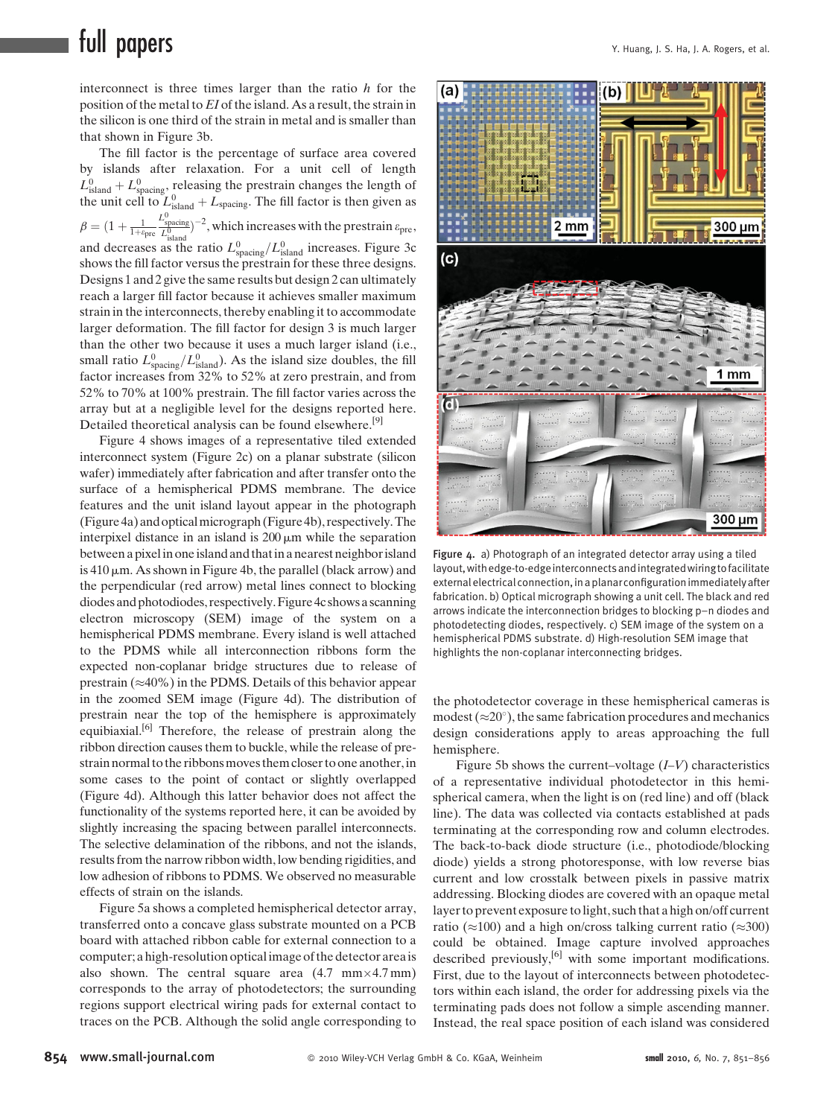## full papers  $\overline{\mathbf{q}}$  papers  $\overline{\mathbf{q}}$  and  $\overline{\mathbf{q}}$  and  $\overline{\mathbf{q}}$  are  $\overline{\mathbf{q}}$  and  $\overline{\mathbf{q}}$  are  $\overline{\mathbf{q}}$  and  $\overline{\mathbf{q}}$  are  $\overline{\mathbf{q}}$  and  $\overline{\mathbf{q}}$  are  $\overline{\mathbf{q}}$  and  $\overline{\mathbf{q}}$  are  $\overline{\mathbf{q}}$  and

interconnect is three times larger than the ratio  $h$  for the position of the metal to EI of the island. As a result, the strain in the silicon is one third of the strain in metal and is smaller than that shown in Figure 3b.

The fill factor is the percentage of surface area covered by islands after relaxation. For a unit cell of length  $L_{\text{island}}^0 + L_{\text{spacing}}^0$ , releasing the prestrain changes the length of the unit cell to  $L^0_{\text{island}} + L_{\text{spacing}}$ . The fill factor is then given as  $\beta = (1 + \frac{1}{1 + \varepsilon_{\text{pre}}}$  $\frac{L_{\text{spacing}}^0}{L_{\text{island}}^0}$   $^{-2}$ , which increases with the prestrain  $\varepsilon_{\text{pre}}$ , and decreases as the ratio  $L_{\text{spacing}}^0/L_{\text{island}}^0$  increases. Figure 3c shows the fill factor versus the prestrain for these three designs. Designs 1 and 2 give the same results but design 2 can ultimately reach a larger fill factor because it achieves smaller maximum strain in the interconnects, thereby enabling it to accommodate larger deformation. The fill factor for design 3 is much larger than the other two because it uses a much larger island (i.e., small ratio  $L_{\text{spacing}}^0/L_{\text{island}}^0$ ). As the island size doubles, the fill factor increases from 32% to 52% at zero prestrain, and from 52% to 70% at 100% prestrain. The fill factor varies across the array but at a negligible level for the designs reported here. Detailed theoretical analysis can be found elsewhere.<sup>[9]</sup>

Figure 4 shows images of a representative tiled extended interconnect system (Figure 2c) on a planar substrate (silicon wafer) immediately after fabrication and after transfer onto the surface of a hemispherical PDMS membrane. The device features and the unit island layout appear in the photograph (Figure 4a) andopticalmicrograph (Figure 4b), respectively.The interpixel distance in an island is  $200 \mu m$  while the separation between a pixelin oneisland and thatin a nearest neighborisland is  $410 \mu$ m. As shown in Figure 4b, the parallel (black arrow) and the perpendicular (red arrow) metal lines connect to blocking diodes and photodiodes, respectively.Figure 4c shows a scanning electron microscopy (SEM) image of the system on a hemispherical PDMS membrane. Every island is well attached to the PDMS while all interconnection ribbons form the expected non-coplanar bridge structures due to release of prestrain ( $\approx$ 40%) in the PDMS. Details of this behavior appear in the zoomed SEM image (Figure 4d). The distribution of prestrain near the top of the hemisphere is approximately equibiaxial.[6] Therefore, the release of prestrain along the ribbon direction causes them to buckle, while the release of prestrain normal to the ribbons moves them closer to one another,in some cases to the point of contact or slightly overlapped (Figure 4d). Although this latter behavior does not affect the functionality of the systems reported here, it can be avoided by slightly increasing the spacing between parallel interconnects. The selective delamination of the ribbons, and not the islands, results from the narrow ribbon width, low bending rigidities, and low adhesion of ribbons to PDMS. We observed no measurable effects of strain on the islands.

Figure 5a shows a completed hemispherical detector array, transferred onto a concave glass substrate mounted on a PCB board with attached ribbon cable for external connection to a computer; a high-resolution opticalimage of the detector areais also shown. The central square area  $(4.7 \text{ mm} \times 4.7 \text{ mm})$ corresponds to the array of photodetectors; the surrounding regions support electrical wiring pads for external contact to traces on the PCB. Although the solid angle corresponding to



Figure 4. a) Photograph of an integrated detector array using a tiled layout,withedge-to-edgeinterconnectsandintegratedwiringtofacilitate externalelectricalconnection,in aplanarconfiguration immediately after fabrication. b) Optical micrograph showing a unit cell. The black and red arrows indicate the interconnection bridges to blocking p–n diodes and photodetecting diodes, respectively. c) SEM image of the system on a hemispherical PDMS substrate. d) High-resolution SEM image that highlights the non-coplanar interconnecting bridges.

the photodetector coverage in these hemispherical cameras is modest  $(\approx 20^{\circ})$ , the same fabrication procedures and mechanics design considerations apply to areas approaching the full hemisphere.

Figure 5b shows the current–voltage  $(I-V)$  characteristics of a representative individual photodetector in this hemispherical camera, when the light is on (red line) and off (black line). The data was collected via contacts established at pads terminating at the corresponding row and column electrodes. The back-to-back diode structure (i.e., photodiode/blocking diode) yields a strong photoresponse, with low reverse bias current and low crosstalk between pixels in passive matrix addressing. Blocking diodes are covered with an opaque metal layer to prevent exposure tolight, such that a high on/off current ratio ( $\approx$ 100) and a high on/cross talking current ratio ( $\approx$ 300) could be obtained. Image capture involved approaches described previously,<sup>[6]</sup> with some important modifications. First, due to the layout of interconnects between photodetectors within each island, the order for addressing pixels via the terminating pads does not follow a simple ascending manner. Instead, the real space position of each island was considered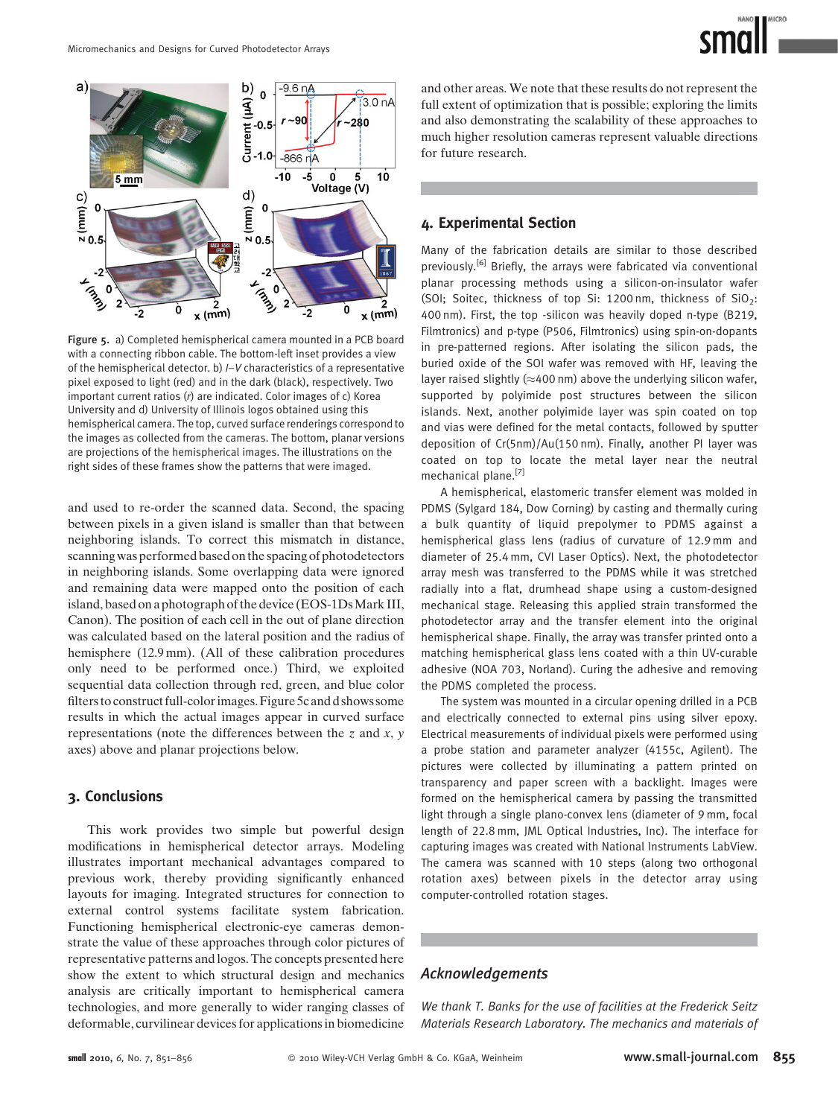

Figure 5. a) Completed hemispherical camera mounted in a PCB board with a connecting ribbon cable. The bottom-left inset provides a view of the hemispherical detector. b) I–V characteristics of a representative pixel exposed to light (red) and in the dark (black), respectively. Two important current ratios (r) are indicated. Color images of c) Korea University and d) University of Illinois logos obtained using this hemispherical camera. The top, curved surface renderings correspond to the images as collected from the cameras. The bottom, planar versions are projections of the hemispherical images. The illustrations on the right sides of these frames show the patterns that were imaged.

and used to re-order the scanned data. Second, the spacing between pixels in a given island is smaller than that between neighboring islands. To correct this mismatch in distance, scanning was performed based on the spacing of photodetectors in neighboring islands. Some overlapping data were ignored and remaining data were mapped onto the position of each island, based on a photograph of the device (EOS-1DsMark III, Canon). The position of each cell in the out of plane direction was calculated based on the lateral position and the radius of hemisphere (12.9 mm). (All of these calibration procedures only need to be performed once.) Third, we exploited sequential data collection through red, green, and blue color filters to construct full-colorimages. Figure 5c and d shows some results in which the actual images appear in curved surface representations (note the differences between the z and x, y axes) above and planar projections below.

### 3. Conclusions

This work provides two simple but powerful design modifications in hemispherical detector arrays. Modeling illustrates important mechanical advantages compared to previous work, thereby providing significantly enhanced layouts for imaging. Integrated structures for connection to external control systems facilitate system fabrication. Functioning hemispherical electronic-eye cameras demonstrate the value of these approaches through color pictures of representative patterns and logos. The concepts presented here show the extent to which structural design and mechanics analysis are critically important to hemispherical camera technologies, and more generally to wider ranging classes of deformable, curvilinear devices for applications in biomedicine

and other areas. We note that these results do not represent the full extent of optimization that is possible; exploring the limits and also demonstrating the scalability of these approaches to much higher resolution cameras represent valuable directions for future research.

### 4. Experimental Section

Many of the fabrication details are similar to those described previously.<sup>[6]</sup> Briefly, the arrays were fabricated via conventional planar processing methods using a silicon-on-insulator wafer (SOI; Soitec, thickness of top Si: 1200 nm, thickness of SiO<sub>2</sub>: 400 nm). First, the top -silicon was heavily doped n-type (B219, Filmtronics) and p-type (P506, Filmtronics) using spin-on-dopants in pre-patterned regions. After isolating the silicon pads, the buried oxide of the SOI wafer was removed with HF, leaving the layer raised slightly ( $\approx$ 400 nm) above the underlying silicon wafer, supported by polyimide post structures between the silicon islands. Next, another polyimide layer was spin coated on top and vias were defined for the metal contacts, followed by sputter deposition of Cr(5nm)/Au(150 nm). Finally, another PI layer was coated on top to locate the metal layer near the neutral mechanical plane.<sup>[7]</sup>

A hemispherical, elastomeric transfer element was molded in PDMS (Sylgard 184, Dow Corning) by casting and thermally curing a bulk quantity of liquid prepolymer to PDMS against a hemispherical glass lens (radius of curvature of 12.9 mm and diameter of 25.4 mm, CVI Laser Optics). Next, the photodetector array mesh was transferred to the PDMS while it was stretched radially into a flat, drumhead shape using a custom-designed mechanical stage. Releasing this applied strain transformed the photodetector array and the transfer element into the original hemispherical shape. Finally, the array was transfer printed onto a matching hemispherical glass lens coated with a thin UV-curable adhesive (NOA 703, Norland). Curing the adhesive and removing the PDMS completed the process.

The system was mounted in a circular opening drilled in a PCB and electrically connected to external pins using silver epoxy. Electrical measurements of individual pixels were performed using a probe station and parameter analyzer (4155c, Agilent). The pictures were collected by illuminating a pattern printed on transparency and paper screen with a backlight. Images were formed on the hemispherical camera by passing the transmitted light through a single plano-convex lens (diameter of 9 mm, focal length of 22.8 mm, JML Optical Industries, Inc). The interface for capturing images was created with National Instruments LabView. The camera was scanned with 10 steps (along two orthogonal rotation axes) between pixels in the detector array using computer-controlled rotation stages.

### Acknowledgements

We thank T. Banks for the use of facilities at the Frederick Seitz Materials Research Laboratory. The mechanics and materials of